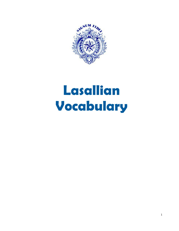

# **Lasallian Vocabulary**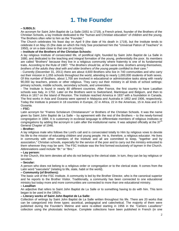# **1. The Founder**

#### **– SJBDLS:**

An acronym for Saint John Baptist de La Salle (1651 to 1719), a French priest, founder of the Brothers of the Christian Schools, a lay Institute dedicated to the "human and Christian education" of children and the young. The Brothers often refer to him as the "Founder."

The Church celebrates his feast day on April 9 (the date of his death in 1719), but the Institute tends to celebrate it on May 15 (the date on which the Holy See proclaimed him the "Universal Patron of Teachers" in 1950), or on a date close to that one (in schools).

#### **– Institute of the Brothers of the Christian Schools:**

A lay religious Institute of consecrated life, of pontifical right, founded by Saint John Baptist de La Salle in 1680, and dedicated to the teaching and integral formation of the young, preferentially the poor. Its members are called "Brothers" because they live in a religious community where fraternity is one of its fundamental traits. According to the Rule of 1987: *"The Brothers should be, at the same time, brothers among themselves, brothers of the adults they deal with and older brothers of the young people confided to their care."*

- Currently (December 31, 2011) there are about 4,600 Brothers who live in 740 communities and who carry out their mission in 1,055 schools throughout the world, attending to nearly 1,000,000 students of both sexes. Of this number of Brothers, about 1,700 are involved in educational or administrative tasks along with nearly 90,000 lay teachers, priests or other religious. They carry out their ministry in all kinds of school settings: primary schools, middle schools, secondary schools, and universities.

- The Institute is found in nearly 80 different countries. After France, the first country to have Lasallian schools was Italy, in 1702. Later on the Brothers went to Switzerland, Martinique and Belgium, and then to Africa in 1817 on the Island of Reunion. The Institute reached America in 1837 with a foundation in Canada. The first works in Asia and Oceania were opened in Malaysia and Australia in 1852 and 1906, respectively. Today the Institute is present in 18 countries in Europe, 22 in Africa, 22 in the Americas, 15 in Asia and 3 in Oceania.

#### **– FSC:**

Latin acronym for "Fratres Scholarum Christianarum" or Brothers of the Christian Schools. It was the name given by Saint John Baptist de La Salle – by agreement with the rest of the Brothers – to the newly-formed congregation in 1684. It is customary in ecclesial language to differentiate members of religious institutes or congregations by adding the acronym in Latin after the institutional name. It was adopted officially at the 37<sup>th</sup> General Chapter of 1946.

#### **– Brother:**

A lay religious male who follows the Lord's call and is consecrated totally to Him by religious vows to devote his life to the mission of educating children and young people. He is, therefore, a religious educator. He lives in community with other members of the Institute and all are committed to keep, "together and by association," Christian schools, especially for the service of the poor and to carry out the ministry entrusted to them wherever they may be sent. The FSC Institute was the first formed exclusively of laymen in the Church. Abbreviations used include "Br." or "Bro."

#### **– Lay person:**

In the Church, this term denotes all who do not belong to the clerical state. In turn, they can be lay religious or seculars.

#### **– Secular:**

A person who does not belong to a religious order or congregation or to the clerical state. It comes from the Latin word "saecularis" (relating to life, state, habit or the world).

#### **– Community (of Brothers):**

The basic unit of the FSC Institute. A community is led by the Brother Director, who is the canonical superior and he reports to the Brother Visitor. Traditionally, a community has been connected to one educational ministry but today more and more communities are connected to more than one educational ministry.

#### **– Lasallian**

An adjective that refers to Saint John Baptist de La Salle or to something having to do with him. This term began to be used in the 1950's.

#### **– Literary works of Saint John Baptist de La Salle:**

Collection of writings by Saint John Baptist de La Salle written throughout his life. There are 20 works that can be categorized into three types: ascetical, pedagogical and catechetical. The majority of them were published during the Founder's lifetime and were re-edited starting in 1956 in the *"Cahiers Lasalliens"*  collection using the photostatic technique. Complete collections have been published in French (in one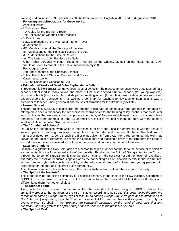volume) and Italian in 1993; Spanish in 2000 (in three volumes); English in 2002 and Portuguese in 2010.

#### **– Following are abbreviations for these works:**

- Ascetical works:
- RC: Common Rule
- RD: Guide for the Brother Director
- Col: Collection of Various Short Treatises
- D: Directories
- EMO: Explanation of the Method of Interior Prayer
- M: Meditations
- MD: Meditations for all the Sundays of the Year
- MF: Meditations for the Principal Feasts of the year
- MTR: Meditations for the Time of Retreat
- Let: The Letters of John Baptist de La Salle

- Other: other personal writings: (Testament, Memoir on the Origins, Memoir on the Habit, Heroic Vow, Formula of Vows, Personal Rules I have imposed on myself)

- Pedagogical works:
- Con: The Conduct of the Christian Schools
- Rules: The Rules of Christian Decorum and Civility
- Catechetical works:
- DC: The Duties of a Christian to God

#### **– Educational Works of Saint John Baptist de La Salle:**

Throughout his life SJBDLS set up various types of schools. The most common ones were gratuitous primary schools established in many towns and cities but he also devised Sunday schools (for young workers), industrial schools (such as textile workshops), a boarding school (for nobles), re-education centers (and even prison schools, for delinquents...) as well as a seminary for teachers for lay teacher training (this was a precursor to teacher training schools) and houses of formation for the Brothers (novitiate).

#### **– Normal School:**

Teacher training. SJBDLS is considered the creator of this type of school given the fact that three times he attempted to open a "Seminary for Teachers" that would serve for the training of lay teachers that could later work in villages that were too small to support a community of Brothers (which were made up of at least three persons). The three attempts, in 1685, 1699 and 1707, failed for various reasons but they were the seed of what would later be called "Normal Schools."

#### **– The "Conduct of Schools":**

De La Salle's pedagogical work which is the essential pillar of the Lasallian enterprise. It was the result of several years of teaching practices coming from the Founder and the first Brothers. The first known manuscript dates from 1706, although the first print edition is from 1720. For three centuries this work has served as the point of reference to assess the educational and teaching activity of the Brothers; the proof of its worth lies in the successive editions it has undergone, and not only on the part of Lasallians.

#### **– Lasallian Charism:**

Charism is a gift that the Holy Spirit gives to a person to help him or her contribute to the service or mission of a community. It is the foundational spirit of the Lasallian Family that the Spirit of God granted to the Church through the person of SJBDLS. In his time the idea of "charism" did not exist nor did the notion of "Lasallian," but today the "Lasallian charism" is spoken of as the connecting axis of Lasallian identity in that it "imprints" its own proper style, with special sensitivity to the educational needs of children and young people, with preference for the poor and it is lived out in community.

The charism is made explicit in three ways: the spirit of faith, ardent zeal and the spirit of community.

#### **– The Spirit of the Institute"**

This is the fleshing out of the spirituality of a specific charism. In the case of the FSC Institute, according to SJBDLS, it is composed of faith and zeal. It has come to be the principal trait that defines Brothers and differentiates them from other religious.

#### **– The Spirit of Faith:**

Along with the spirit of zeal, this is one of the characteristics that, according to SJBDLS, defines the spirituality proper to the members of the FSC Institute. According to SJBDLS, *"this spirit moves the Brothers*  to look upon nothing except with the eyes of faith, to do nothing except with God's gaze and to attribute all to *God."* Its [faith] acquisition, says the Founder, is essential for new members and its growth is a duty for everyone else. To obtain it, the *"Brothers are continually nourished by the Word of God, their 'first and principal Rule,' they grow in the spirit of prayer and in attention to the presence of God."*

#### **– The Spirit of Zeal:**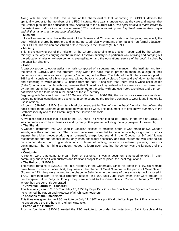Along with the spirit of faith, this is one of the characteristics that, according to SJBDLS, defines the spirituality proper to the members of the FSC Institute. Here zeal is understood as the care and interest that the Brother puts into his educational task. According to the current Rule, *"the spirit of faith is made visible by the ardent zeal of those to whom it is entrusted. This zeal, encouraged by the Holy Spirit, inspires their prayer and all their actions in the educational ministry."*

#### **– Mission:**

In Lasallian terminology, this is the work of the "human and Christian education of the young, especially the poor," which is shared by Brothers and lay partners, principally by means of formal and non-formal education. For SJBDLS, this mission constituted a "true ministry in the Church" (MTR 199.1.

#### **– Ministry:**

This is the carrying out of the mission of the Church, according to a charism recognized by the Church. Ministry is the way of carrying out the mission. Lasallian ministry is a particular way of living and carrying out the educational mission (whose center is evangelization and the educational service of the poor), inspired by the Lasallian charism.

#### **– Habit:**

A cassock proper to ecclesiastics, normally composed of a soutane and a mantle. In the Institute, and from the time of SJBDLS and the brothers "they wear the habit that is proper to them as a sign of their consecration and as a witness to poverty," according to the Rule. The habit of the Brothers was adopted in 1684 and it consisted of a black soutane, without buttons, closed by clasps (hook and eye) down to the waist and extending to within about 6  $\frac{1}{2}$  inches from the floor. Along with that, there was a white collar or bib ("rabat"), a cape or mantle with long sleeves that "floated" as they walked in the street (such as those used by the farmers in the Champagne Region), attached to the collar with one eye hook, a skullcap and a tri-corn hat which ceased to be used in the middle of the 20<sup>th</sup> century.

Beginning with Vatican II and the 39<sup>th</sup> General Chapter of 1966-1967, the norms for its use were modified, according to local conditions and customs: in some countries the Brothers continue to wear it and in others its use is optional.

- Around 1689-160-, SJBDLS wrote a brief document entitle *"Memoir on the Habit,"* in which he defined the habit proper to the Brothers as opposed to what clerics wore. This document is th first known summary of the Brother's identity and of the Community of the Christian Schools.

#### **– Rabat:**

A two-piece white collar that is part of the FSC habit. In French it is called "rabat." In the time of SJBDLS it was commonly worn by ecclesiastics and by many other people, including the laity (lawyers, for example).

#### **– The Signal:**

A wooden instrument that was used in Lasallian classes to maintain order. It was made of two wooden wands, one thick and one thin. The thinner piece was connected to the other one by catgut and it struck against the thicker piece, producing an unusually sharp, loud sound. In the *"Conduct of Schools"* it was recommended that the teacher speak only when absolutely necessary and this instrument was used to call on another student or to give directions in terms of writing, lessons, catechism, prayers, meals or punishments. The first thing a student needed to learn upon entering the school was the language of the Signal.

#### **– Coutumier:**

A French word that came to mean "book of customs." It was a document that used to exist in each community and it dealt with customs and traditions proper to each place, the local regulations.

#### **– The Relics of SJBDLS:**

The mortal remains of SJBDLS rest in a reliquary in the Generalate. Since his death in 1719, his remains have been in various places: first, they were in the chapel of Saint Susanna in the parish of Saint Severo (Ruan). In 1734 they were moved to the chapel in Saint Yon, in the name of the same city until it closed in 1792. They then went to various Brothers' houses, in Ruan, until June 1906 when they were brought to Lembecq-lez-Hall in Belgium. Finally, they were moved to the Generalate in Rome on January 26, 1937 where they are currently venerated.

#### **– "Universal Patron of Teachers":**

This title was given to SJBDLS on May 15, 1950 by Pope Pius XII in the Pontifical Brief "Quod ait," in which he is named the Patron and Protector of all Christian teachers.

#### **– "Apostles of the Catechism":**

This titles was given to the FSC Institute on July 11, 1907 in a pontifical brief by Pope Saint Pius X in which he encouraged the Brothers in "their principal role."

#### **– Patron of the Institute:**

From its foundation, SJBDLS wanted the FSC Institute to be under the protection of Saint Joseph and he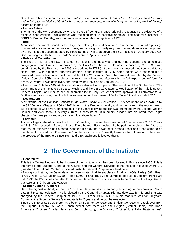stated this in his testament so that *"the Brothers find in him a model for their life [...] as they respond, in trust and in faith, to the fidelity of God for his people, and they cooperate with Mary in the saving work of Jesus,"*  according to the Rule.

#### **– Letters Patent:**

The name of the civil document by which, in the 18<sup>th</sup> century, France juridically recognized the existence of a religious congregation. This contract was the step prior to ecclesial approval. The second successor to SJBDLS, Brother Timothy, was the one who received this recognition in 1724.

#### **– Bull:**

A pontifical document, issued by the Holy See, relating to a matter of faith or to the concession of a privilege or administrative issue. In the Lasallian case, and although normally religious congregations are not approved by a Bull, it is the document used by Pope Benedict XIII to approve the FSC Institute on January 26, 1725. Said Bull begins with the Latin words *"In apostolicae dignitatis solio."*

#### **– Rules and Constitutions:**

The Rule of life for the FSC Institute. The Rule is the most vital and defining document of a religious congregation, and it must be approved by the Holy See. The first Rule was composed by SJBDLS – with contributions by the Brothers – in 1705 and updated in 1715 (but there was a manuscript edition in existence since 1694). With canonical approval granted to the Institute in 1725, some points were changed but it remained more or less intact until the middle of the 20<sup>th</sup> century. With the renewal promoted by the Second Vatican Council (1965) it was almost entirely reformulated and after existing in "ad experimentum" form for almost 20 years, it was definitively approved by the Holy See on January 26, 1987.

- The current Rule has 149 articles and statutes, divided in two parts ("The Vocation of the Brother" and "The Government of the Institute") plus a conclusion, and there are 10 Chapters. Modification of the Rule is up to a General Chapter, and it must then be submitted to the Holy See for definitive approval. It is normative for all Brothers and, as it says, it is "the faithful expression of the charism of De La Salle." It is abbreviated "R."

#### **– Declaration:**

*"The Brother of the Christian Schools in the World Today: A Declaration."* This document was drawn up by the 39<sup>th</sup> General Chapter (1966 - 1967) in which the Brother's identity and his new role in the modern world were defined. It was a very clarifying text in the years following the renewal promoted by the Second Vatican Council and even today it is very current. It consists of 53 numbers, divided into an introduction, eight chapters (in three parts) and a conclusion. It is abbreviated "D."

#### **– Parmenie:**

A small village in the Alps, near the town of Grenoble, in the southeastern part of France, where SJBDLS was in 1713-1714, recovering from an illness. There he met Sister Louise who helped him to discern his future as regards the ministry he had created. Although his stay there was brief, among Lasallians it has come to be the place of the "dark night" where the Founder was in crisis. Currently there is a farm there which has been the property of the Brothers since 1964 and a retreat house is located there.

# **2. The Government of the Institute**

#### **– Generalate:**

This is the Central House (Mother House) of the Institute which has been located in Rome since 1936. This is the home of the Superior General, his Council and the General Services of the Institute. It is also where CIL (Lasallian International Center) is located. Institute General Chapters are held here.

- Throughout history, the Generalate has been located in different places: Rheims (1680), Paris (1688), Ruan (1705), Paris (1771), Melun (1780), Rome (1792), Paris (1821), and Lembecq-lez-Hal (in Belgium) from 1905 until 1936. In 1920 it was decided to move the Generalate to Rome in order to be closer to the Holy See, at Via Aurelia, 476, its current location.

#### **– Brother Superior General:**

He is the highest authority of the FSC Institute. He exercises his authority according to the norms of Canon Law and Institute legislation. He is elected by the General Chapter. His mandate was for life until that was changed by the General Chapter of 1966-1967. From 1966 until 1986 his mandate was for 10 years. Currently, the Superior General's mandate is for 7 years and he can be re-elected.

Since the time of SJBDLS there have been 23 Superior Generals and 3 Vicar Generals who took over from the Superior General. All were French except five: there was one Belgian (Brother Denis), two North Americans (Brothers Charles Henry and John Johnston), one Spaniard (Brother José Pablo Basterrechea),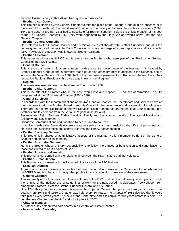and one Costa Rican (Brother Álvaro Rodríguez). (cf. Annex 1).

#### **– Brother Vicar General:**

This Brother is elected by the General Chapter to take the place of the Superior General in his absence or in the event of his death until the next General Chapter. In the history of the Institute, on three occasions (1795, 1940 and 1952) a Brother Vicar had to substitute for Brother Superior. Before the official creation of his post at the 37<sup>th</sup> General Chapter (1946), they were appointed by the Holy See and would serve until the next General Chapter.

#### **– Brother General Councillor:**

He is elected by the General Chapter and his mission is to collaborate with Brother Superior General in the central governance of the Institute. Each Councillor is usually in charge of a geographic area and/or a specific task. Previously this position was known as Brother Assistant.

#### **– Brother Assistant:**

This name was in use until 1976 and it referred to the Brothers who were part of the "Regime" or General Council of the FSC Institute.

#### **– General Council:**

This is the community of Brothers entrusted with the central governance of the Institute. It is headed by Brother Superior General and is currently made up of nine other Brothers in addition to the Superior, one of whom is the Vicar General. Since 2007, half of the them reside permanently in Rome and the rest live in their respective Regions. Previously this group was known s the "Regime."

#### **– Regime:**

This name was used to describe the General Council until 1976.

#### **– Brother Visitor General:**

This is the title of the Brother who, in the past, would visit and inspect FSC houses of formation. This title disappeared at the  $39<sup>th</sup>$  General Chapter (1966 - 1967).

#### **– General Services:**

In accordance with the recommendations of the  $44<sup>th</sup>$  General Chapter, the Secretariats and Services have as their purpose to aid the Brother Superior and his Council in the governance and leadership of the Institute. There are four central Secretariats and two Services. Each of them has an International Council made up of Brothers and lay persons from the various Regions (Circular 456).

**Secretariats:** Being Brothers Today, Lasallian Family and Association, Lasallian Educational Mission and Solidarity and Development.

**Services:** Communications and Lasallian Research and Resources.

In addition, within the Generalate there are other services such as translation, the office of personnel and statistics, the business office, the central archives, the library, documentation.

#### **– Brother Secretary General:**

This Brother is in charge of administrative aspects of the Institute. He is a member by right of the General Chapter and he acts as its secretary.

#### **– Brother Postulator General:**

He is the Brother whose primary responsibility is to follow the causes of beatification and canonization of those considered to be "Servants of God."

#### **– Brother Procurator General:**

This Brother is concerned with the relationship between the FSC Institute and the Holy See.

#### **– Brother Bursar General:**

This Brother is concerned with the Fiscal Administration of the FSC Institute.

#### **– Lasallian Studies:**

A group of experts in Lasallian issues from all over the world who work at the Generalate to publish studies on SJBDLS and his charism. Among other publications is a collection of essays of the same name.

#### **– General Chapter:**

This assembly of Brothers has the ultimate authority in the FSC Institute. It is held every seven years to study the running of the Institute and draw up lines of work for the next period. Its delegates, freely chosen from among the Brothers, elect the Brother Superior General and his Council.

Until 1946 this group was convoked whenever the Superior General thought it necessary or in case of his death. From 1946 until 1986 a Chapter was held every 10 years. The Chapter of 1986 decided that it would take place every seven years. It is held at the Generalate and it is convokes two years before it is held. The last General Chapter was the 44<sup>th</sup> and it took place in 2007.

#### **– Chapter member:**

A Brother or lay person who participates in a General or District Chapter.

#### **– Intercapitular Assembly:**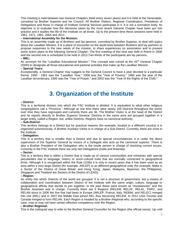This meeting is held between two General Chapters (held every seven years) and it is held at the Generalate, convoked by Brother Superior and his Council. All Brother Visitors, Regional Coordinators, Presidents of Delegations and those in charge of Institute General Services participate in it. It is not a normative body. Its objective is to evaluate how the decisions taken by the most recent General Chapter have been put into practice and it studies the life of the Institute on all levels. Up to the present time these sessions were held in 1961, 1971, 1981, 2004 and 2011.

#### **– International Assembly for the Mission:**

This is an assembly made up of Brothers and lay persons, convoked by Brother Superior, to deal with topics about the Lasallian Mission. It is a place of encounter on the world level between Brothers and lay partners to propose responses to the new needs of the mission, to share experiences on association and to present some action plans to the following General Chapter. The first meeting of this kind was held in Rome in 2006 and the second one is scheduled to be held in 2013.Two-thirds of the participants are lay persons.

#### **– MEL:**

An acronym for the "Lasallian Educational Mission." This concept was coined at the 43<sup>rd</sup> General Chapter (2000) to designate all those educational and pastoral activities that make up the Lasallian Mission.

#### **– Special Years:**

Exceptionally, a General Chapter may suggest to the General Council to have a year devoted to a particular theme: 1950 - 1951 was the "Lasallian Year," 1958 was the "Year of Poverty," 1980 was the year of the Lasallian tercentenary, 1995 was the "Year of Prayer," and 2002 was the "Year of the Rights of the Child."

### **3. Organization of the Institute**

#### **– District:**

This is a territorial division into which the FSC Institute is divided. It is equivalent to what other religious congregations call a "Province." Although at one time there were nearly 100 Districts throughout the world, over time they have regrouped and currently there are 36. The Brother Visitor is at the head of the District and he reports directly to Brother Superior General. Districts in the same area are grouped together in a larger entity, called a Region, but, unlike Districts, Regions have no canonical authority.

#### **– Sub-District:**

This territory belongs to a District but for practical reasons (for example, located in a different country) it is organized autonomously. A Brother Auxiliary Visitor is in charge of a Sub-District. Currently, there are none in the Institute.

#### **– Delegation:**

This is a territory that is smaller than a District and due to special circumstances, it is under the direct supervision of the Superior General by means of a Delegate who acts as the canonical superior. There is also a Brother President of the Delegation who is the onsite person in charge of resolving current issues. Currently in the FSC Institute there are only two Delegations (India and Rwanda).

#### **– Sector:**

This is a territory that is within a District that is made up of various communities and ministries with special peculiarities due to language, history or socio-cultural traits that are normally connected to geographical limits. Although it is recognized within the Rule (125b) it is only in recent years that it has been used as an area within a very large District (for example, ARLEP) or as different geographical units (for example, Malta is a Sector of the District of Great Britain and Hong Kong, Japan, Malaysia, Myanmar, the Philippines, Singapore and Thailand are Sectors of the District of LEAD).

#### **– Region:**

An entity into which Districts of the world are grouped. It is not a structure of government, but a means of collaboration and coordination between District of the Institute with the same origin, culture, language or geographical affinity that decide to join together. In the past these were known as "Assistancies" and the Brother Assistant was in charge. Currently there are 5 Regions (RELEM, RELAF, RELAL, PARC, and RELAN since in 2006 the five that had been in Europe (ARLEP, France, Italy, REBIM, and RELEC) merged into one (REL) and in 2007 the Middle East joined REL thus becoming RELEM. In 2012 USA-Toronto and Canada merged to form RELAN. Each Region is headed by a Brother Regional who, according to the specific case, may or may not have certain effective competency over the Region.

#### **– Brother Regional:**

This is the colloquial way to refer to the Brother General Councillor for the Region (the official name). Up until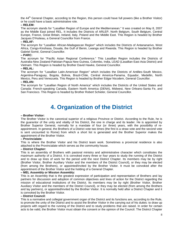the 44<sup>th</sup> General Chapter, according to the Region, this person could have full powers (like a Brother Visitor) or he could have a basic administrative role.

#### **– RELEM:**

The acronym stands for "Lasallian Region of Europe and the Mediterranean." It was created on May 8, 2007 as the Middle East joined REL. It includes the Districts of ARLEP, North Belgium, South Belgium, Central Europe, France, Great Britain, Ireland, Italy, Poland and the Middle East. This Region is headed by Brother Jacques D'Huiteau, a General Councillor from France.

#### **– RELAF:**

The acronym for "Lasallian African-Madagascan Region" which includes the Districts of Antananarivo, West Africa, Congo-Kinshasa, Douala, the Gulf of Benin, Lwanga and Rwanda. This Region is headed by Brother Gabriel Somé, General Councillor.

#### **– PARC:**

The acronym for "Pacific Asian Regional Conference." This Lasallian Region includes the Districts of Australia-New Zealand-Pakistan-Papua New Guinea, Colombo, India, LEAD (Lasallian East Asia District) and Vietnam. This Region is headed by Brother David Hawke, General Councillor.

#### **– RELAL:**

The acronym for "Lasallian Latin-American Region" which includes the Districts of Antilles-South Mexico, Argentina-Paraguay, Bogota, Bolivia, Brazil-Chile, Central America-Panama, Equador, Medellin, North Mexico, Peru and Venezuela. This Region is headed by Brother Edgar Nicodem, General Councillor. **– RELAN:**

#### The acronym for "Lasallian Region of North America" which includes the Districts of the United States and Canada: French-speaking Canada, Eastern North America (DENA), Midwest, New Orleans-Santa Fe, and San Francisco. This Region is headed by Brother Robert Schieler, General Councillor.

# **4. Organization of the District**

#### **– Brother Visitor:**

The Brother Visitor is the canonical superior of a religious Province or District. According to the Rule, he is the guarantor of the unity and vitality of his District, the one in charge and its leader. He is appointed by Brother Superior General, normally for a mandate of four (or three) years, with the possibility of reappointment. In general, the Brothers of a District vote two times (the first is a straw vote and the second vote is sent uncounted to Rome) from which a short list is generated and the Brother Superior makes the appointment of the Brother Visitor.

#### **– Provincialate:**

This is where the Brother Visitor and his District team work. Sometimes a provincial residence is also attached to the Provincialate which serves as the community house.

#### **– District Chapter:**

This is an assembly of Brothers with pastoral ministry and administrative character which constitutes the maximum authority of a District. It is convoked every three or four years to study the running of the District and to draw up lines of work for the period until the next District Chapter. Its members may be by right (Brother Visitor, Brother Auxiliary Visitor and the members of the District Council), or they may be elected (from among the Brothers), or appointed/invited by the Brother Visitor. It must be convoked after the appointment of the Brother Visitor and the holding of a General Chapter.

#### **– MEL Assembly or Mission Assembly:**

This is an Assembly that is the greatest expression of participation and representation of Brothers and lay partners for discussion and adoption of common objectives and lines of action for the District regarding the mission of educational institutions of the District. Its members may be by right (Brother Visitor, Brother Auxiliary Visitor and the members of the District Council), or they may be elected (from among the Brothers and lay partners), or appointed/invited by the Brother Visitor. It is normally held after a District Chapter and it is convoked by the Brother Visitor.

#### **– District Council:**

This is a normative and collegial government organ of the District and its functions are, according to the Rule, to promote the unity of the District and to assist the Brother Visitor in the carrying out of his duties: to draw up projects with regard to the running of the District and to study problems that are raised. In order for certain acts to be valid, the Brother Visitor must obtain the consent or the opinion of the Council. The District Chapter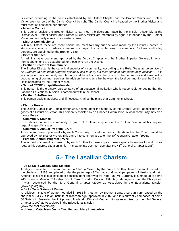is elected according to the norms established by the District Chapter and the Brother Visitor and Brother Visitor are members of the District Council by right. The District Council is headed by the Brother Visitor and must meet at least once per quarter.

#### **– Mission Council:**

This Council assists the Brother Visitor to carry out the decisions made by the Mission Assembly at the District level. Brother Visitor and Brother Auxiliary Visitor are members by right. It is headed by the Brother Visitor and normally meets on a quarterly basis.

#### **– District Commissions:**

Within a District, these are commissions that meet to carry out decisions made by the District Chapter, to study some topic or to advise someone in charge of a particular area. Its members, Brothers and/or lay persons, are appointed by the Brother Visitor.

#### **– District Statutes:**

An administrative document, approved by the District Chapter and the Brother Superior General, in which norms and criteria are established for those who run the District.

#### **– Brother Director of Community:**

The Brother Director is the canonical superior of a community. According to the Rule, *"he is at the service of*  his Brothers to help them progress spiritually and to carry out their personal and community vocation." He is in charge of the community and its unity and he administers the goods of the community and sees to the good running of common services. In addition, he acts as a link between the local community and the District. He is appointed by the Brother Visitor.

#### **– School CEO/Principal/Headmaster:**

This person is the ordinary representative of an educational institution who is responsible for seeing that the Lasallian Educational Mission is carried out within the school.

#### **– Brother Sub-Director:**

This person assists, advises, and, if necessary, takes the place of a Community Director.

#### **– District Bursar:**

The District Bursar is an Administrator who, acting under the authority of the Brother Visitor, administers the goods of a District or Sector. This person is assisted by an Finance Commission. A local community may also have a Bursar.

#### **– Community Council:**

In a relative numerous community, a group of Brothers may advise the Brother Director at his request regarding specific issues.

#### **– Community Annual Program (CAP):**

A document draws up annually by each Community to spell out how it intends to live the Rule. It must be approved by the Brother Visitor. This came into common use after the  $40<sup>th</sup>$  General Chapter (1976).

#### **– Personal Annual Program (PAP):**

This annual document is drawn up by each Brother to make explicit those aspects he wishes to work on as regards his concrete situation in life. This came into common use after the 41<sup>st</sup> General Chapter (1986).

# **5.- The Lasallian Charism**

#### **-- De La Salle Guadalupana Sisters:**

A religious institute of women founded in 1946 in Mexico by the French Brother Jean Fromental, based on the charism of SJBS and placed under the patronage of Our Lady of Guadalupe, patron of Mexico and Latin America. It is a religious institute of pontifical right approved by Pope Paul VI. Currently it is made up of some 240 Sisters in Mexico, Colombia, Brazil, Peru, Ecuador, Bolivia, USA, Italy, Madagascar and the Philippines. It was recognised by the 43rd General Chapter (2000) as Associated in the Educational Mission (www.hgs.org.mx).

#### **-- De La Salle Sisters of Vietnam:**

A religious institute of women founded in 1966 in Vietnam by Brother Bernard Le-Van-Tam, based on the charism of SJBS. It is an institute of diocesan right approved in 2002, and it is currently composed of some 60 Sisters in Australia, the Philippines, Thailand, USA and Vietnam. It was recognised by the 43rd General Chapter (2000) as Associated in the Educational Mission

#### (www.thelasallesisters.org).

**-- Union of Catechists Jesus Crucified and Mary Immaculate:**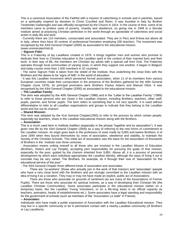This is a canonical Association of the Faithful with a mission of catechising in schools and in parishes, based on a spirituality inspired by devotion to Christ Crucified and Risen. It was founded in Italy by Brother Teodoretto Garberoglio and was officially recognised by the Church in 1914. In the course of time, some of its members came to profess vows of poverty, chastity and obedience, so giving rise in 1948 to a Secular Institute aimed at practicing Christian perfection in the world through an apostolate of catechesis and social action in daily life and work.

- Currently there are 110 members, consecrated and associated. They are in Peru and Eritrea but above all in Italy, where they have 30 centres of professional formation employing 200 teachers. The movement was recognised by the 43rd General Chapter (2000) as associated to the educational mission. (www.unionecatechisti.it).

**-- Signum Fidei:**

This is a Fraternity of lay Lasallians created in 1976. It brings together men and women who promise to dedicate their lives to Christian education in the Lasallian spirit in the context of their married lives and their work. In their way of life, the members are Christian lay adults with a special call from God. The Fraternity operates through local communities of varying sizes, in which they support one another. It began in Belgium and today counts more than 1.000 members in 32 countries.

- The name Signum Fidei is taken from the shield of the Institute, thus underlining the close links with the Brothers and the desire to be 'signs of faith' in the world of education.

- It was this Lasallian movement which pioneered formal association, when 11 of its members from various European countries made their consecration in the presence of the Brothers gathered for the 40th General Chapter (June 1976). Its principal promoters were Brothers Paulus Adams and Manuel Olivé. It was recognised by the 43rd General Chapter (2000) as associated to the educational mission.

#### **-- The Lasallian Family:**

This term was adopted by the 40th General Chapter (1986) and in the "Letter to the Lasallian Family" (1989) to refer to those persons who are closet o the Lasallian charism, including Brothers, teachers, other staff, pupils, parents, and former pupils. The term refers to something that is not very specific. It is used without differentiation to refer to all Lasallian organisations and groups to indicate that they belong to the Lasallian world and live out its charism.

#### **-- Shared Mission:**

This term was adopted by the 41st General Chapter(1993) to refer to the process by which certain people, especially lay teachers, share in the Lasallian educational mission along with the Brothers.

#### **-- Association:**

This is a much used term in Institute tradition (especially in the phrase "together and by association"). It was given new life by the 43rd General Chapter (2000) as a way of referring to the new forms of commitment to the Lasallian mission. Its origin goes back to the profession of vows made by SJBS and twelve Brothers, 6 of June 1694 when they bound themselves by vows of association, obedience and stability, to maintain the Society of the Christian Schools. This initial act of association was the basis for the association of thousands of Brothers in the Institute over three centuries.

- Association means uniting oneself to all those who are involved in the Lasallian Mission of Education (Brothers, Sisters and Lay People), accepting joint responsibility for pursuing the goals of that mission, especially for the poor, guided by the charism inherited from SJBS. Above all, it is a process of personal development by which each individual appropriates the Lasallian identity, although the ways of living it out in concrete may be very varied. The Brothers, for example, do it through their vow of "association for the educational service of the poor".

- The 43rd General Chapter three different kinds of association and associates:

There are "co-workers" (those who actually join in the work of that mission) and "associates" (people who have a very close bond with the Brothers and are strongly committed to the Lasallian mission with an idea of living it as a vocation. They may or may not have made an explicit, public act of Association).

There are those who associate on grounds of sentiment (as are many of the Associations of Former Pupils). There are those who associate for spiritual motives, as a way of developing their Christian life (the Lasallian Christian Communities). Some associates participate in the educational mission (either on a temporary basis, like the Lasallian Young Volunteers, or on a life-long basis in an official capacity as teachers, animators, heads of establishments etc.). Some associates have a legal standing and responsibility for the government of schools (such as members of the "*Association La Salle*" in France).

#### **-- Associates:**

Individuals who have made a public expression of Association with the Lasallian Educational mission. They may live in a specific community or be in permanent contact with a nearby Lasallian community (of Brothers or Lay Lasallians).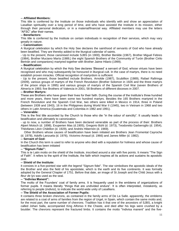#### **-- Affiliated Members:**

This title is conferred by the Institute on those individuals who identify with and show an appreciation of Lasallian spirituality over a long period of time, and who have assisted the Institute in its mission, either through their personal dedication, or in a material/financial way. Affiliated members may use the letters "AFSC" after their names.

#### **-- Benefactors:**

This title is conferred by the Institute on certain individuals in recognition of their services, which may vary greatly in nature.

#### **-- Canonisation:**

A liturgical celebration by which the Holy See declares the sainthood of servants of God who have already been beatified. They are thereby added to the liturgical calendar of saints.

- Up to the present, those canonised include SJBS (in 1900), Brother Benilde (1967), Brother Miguel Febres (1984), Brother Muciano María (1989,) the eight Spanish Brothers of the Community of Turón (Brother Cirilo Bertrán and companions) martyred together with Brother Jaime Hilario (1999).

#### **-- Beatification:**

A liturgical celebration by which the Holy See declares 'Blessed' a servant of God, whose virtues have been recognised and who may subsequently be honoured in liturgical cult. In the case of martyrs, there is no need establish proven miracles. Official recognition of martyrdom is sufficient.

- Up to the present, those beatified include Brothers. Arnolde (1987), Scubillion (1989), Rafael Rafiringa (2009), various groups of martyrs of the French Revolution (Brother Solomon in 1926 and the three martyrs of the prison ships in 1995) and various groups of martyrs of the Spanish Civil War (seven Brothers of Almería in 1993; five Brothers of Valencia in 2001; 58 Brothers of different dioceses in 2007.

#### **-- Brother Martyrs:**

These are Brothers who have given their lives for their faith. During the course of the Institute's three hundred and more years, there have been some two hundred martyrs. Besides the 165 Brothers martyred in the French Revolution and the Spanish Civil War, two others were killed in Mexico in 1914, three in Poland (between 1939 and 1943), 16 in the Philippines during World War II (1945), two in Vietnam in 1968 and two others in Latin America (Guatemala and Colombia in 1982 and 1991).

#### **-- Venerable:**

This is the first title accorded by the Church to those who die "in the odour of sanctity". It usually leads to beatification and ultimately to canonization.

- up to now, a number of Brothers have been declared venerable as part of the process of their: Brothers Alpert Motsch (d. 1898), Exuperien Mas (d.1905), Gregorio Bühl (d. 1973), Teodoretto Garberoglio (d. 1954), Théofanes Léon Châtillon (d. 1929), and Andrés Hibernón (d. 1969).

Other Brothers whose causes of beatification have been initiated are Brothers Jean Fromental Cayroche (d. 1978), Adolfo Lanzuela (d. 1976), Victorino Arnaud (d. 1966) and James Miller (d. 1982).

#### **-- Servant of God:**

In the Church this term is used to refer to anyone who died with a reputation for holiness and whose cause of beatification has been initiated

#### **-- "Signum Fidei":**

This is te Latin motto on the shield of the Institute, inscribed around a star with five points. It means "The Sign of Faith". It refers to the spirit of the Institute, the faith which inspires all its actions and sustains its apostolic zeal.

#### **-- Shield of the Institute:**

It consists in a five-pointed star with the legend "Signum fidei". The star simbolises the apostolic ideals of the the Brother and also the field of his apostolate, which is the earth and its five continents. It was formally adopted by the General Chapter of 1751. Before that date, an image of St Joseph and the Child Jesus with a *fleur de lys* was used as the seal.

#### **-- "Indivisa Manent":**

The motto of the Founders' coat of family arms. It is frequently used in the emblems of organizations of former pupils. It means literally "things that are undivided endure". It is often interpreted, mistakenly, as referring to people (*indivisi*), to indicate the world-wide unity of Lasallians.

#### **-- The Shield of the Association of Former Pupils:**

It contains three broken chevrons, as contained in the family arms of De La Salle. apparently, the emblems are related to a coat of arms of families from the region of Urgel, in Spain, which contain the same motto and, for the most part, the same number of chevrons. Tradition has it that one of the ancestors of SJBS, a knight called Johan Salla, accompanied King Alfonso II the Chaste, and died after his legs were crushed by a boulder. The chevrons represent the fractured limbs. It contains the motto "Indivisa manent" and the five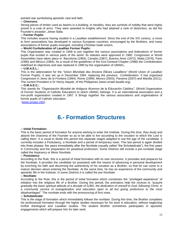pointed star symbolising apostolic zeal and faith.

#### **-- Chevrons:**

Strong pieces of timber used as beams in a building. In heraldry, they are symbols of nobility that were highly prized in a coat of arms. They were awarded to knights who had attained a rank of distinction, as did the Founder's ancestor, Johan Salla.

#### **-- Former Pupils:**

This includes anyone having studied in a Lasallian establishment. Since the end of the XIX century, a move to form associations has developed in various European countries, encouraged by the Brothers, and many associations of former pupils emerged, including Christian trade unions.

#### **-- World Confederation of Lasallian Former Pupils:**

This Organisation was created in 1958 to join together the various associations and federations of former pupils that existed in various parts of the world. Its statutes were approved in 1960. Congresses or World Assemblies have taken place in: Barcelona (1964), Canada (1967), Buenos Aires (1972), Malta (1976), Paris (1980) and México (1984). As a result of the guidelines of the 41st General Chapter (1986) the Confederation redefined its objectives and was replaced in 1990 by the organisation of UMAEL.

#### **-- U.M.A.E.L.:**

This is the abbreviation for the *"Union Mondiale des Anciens Elèves Lasalliens"* (World Union of Lasallian Former Pupils). It was set up in December 1994, replacing the previous Confederation. It has organised Congresses in Jerez de la Frontera (1994), Rome (1999), Mexico (2003), Panama (2007) and Manilla (2011). The current President is Dr Henry Atayde, of the Philippines (www.umael-lasalle.org).

#### **-- O.M.A.E.C.:**

This stands for *"Organización Mundial de Antiguos Alumnos de la Educación Católica",* (World Organisation of Former Students of Catholic Education) to which UMAEL belongs. It is an international association and a non-profit organisation created in 1967. It Brings together the various associations and organisations of former pupils of Catholic education.

[\(www.omaec.info\)](http://www.omaec.info/).

# **6.- Formation Structures**

#### **-- Initial Formation:**

This is the basic period of formation for anyone wishing to enter the Institute. During this time, they study and absorb the charisma of the Founder so as to be able to live according to the vocation to which the Lord is calling them. It is usual to divide this period into separate stages adapted to suit the age of the candidate. It currently includes a Postulancy, a Novitiate and a period of temporary vows. This last period is again divided into three phases: the years immediately after the Novitiate (usually called "the Scholasticate"), the first years in Community and the preparation for perpetual profession. Some Districts still include a pre-novitiate stage called the Aspirancy or Minor Novitiate.

#### **-- Postulancy:**

According to the Rule, this is a period of initial formation with its own structures. It precedes and prepares for the Novitiate. It provides the candidate (or postulant) with the means of advancing in personal development by enriching his faith and discerning the authenticity of his vocation as a Brother, so that he can come to a mature decision about entering the Novitiate. At the same time, he has an experience of the community and apostolic life in the Institute. In some Districts it is called the pre-Novitiate

#### **-- Novitiate:**

According to the Rule, this is the period of initial formation which constitutes the "privileged experience" of initiation into the religious life of a Brother. During this period, the animators help the novices to *"acquire gradually the basic spiritual attitude of a disciple of SJBS, the dedication of oneself to God, following Christ, in a community service of evangelisation and education open to all but giving preference to the most disadvantaged".* The novitiate ends with the pronouncing of first vows.

#### **-- Scholasticate:**

This is the stage of formation which immediately follows the novitiate. During this time, the Brother completes his professional formation through the higher studies necessary for his work in education, without neglecting further theological and Lasallian studies. The student Brother sometimes participates in apostolic engagements which will prepare him for later work.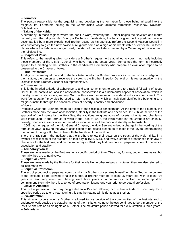#### -- **Formator:**

The person responsible for the organising and developing the formation for those being initiated into the religious life. Formators belong to the Communities which animate formation: Postulancy, Novitiate, Scholasticate.

#### **-- Taking of the Habit:**

A ceremony (in those regions where the habit is worn) whereby the Brother begins the Novitiate and marks his entry into the religious life. During a Eucharistic celebration, the habit is given to the postulant who is accompanied by a more experienced Brother acting as his sponsor. Before the Second Vatican Council, it was customary to give the new novice a 'religious' name as a sign of his break with his former life. In those places where the habit is no longer used, the start of the novitiate is marked by a Ceremony of Initiation into the religious life.

#### **-- Chapter of Vows:**

This refers to the meeting which considers a Brother's request to be admitted to vows. It normally includes those members of the District Council who have made perpetual vows. Sometimes the term is incorrectly applied to a meeting of the Brothers in the candidate's Community who prepare an evaluation report to be presented to the Chapter of Vows.

#### **-- First Professiom:**

A religious ceremony at the end of the Novitiate, in which a Brother pronounces his first vows of religion. In the Institute, the person who receives the vows is the Brother Superior General or his representative. In the District, it is the Brother Visitor or his representative.

#### -- **Consecration:**

This is the interiorl attitude of adherence to and total commitment to God and to a radical following of Jesus Christ. In the context of Lasallian association, consecration is a fundamental aspect of association, which is thereby linked to its source, namely God. In this view, consecration is understood as a commitment. The word 'consecration' may also be used to refer to the act by which an individual signifies his belonging to a religious Institute through the canonical vows of poverty, chastity and obedience.

#### **-- Vows:**

Promises which the Brothers make as a sign of their religious consecration. At the time of the Founder, the Brothers made only the vows of association, stability in the Institute and obedience. In 1726, at the time of the approval of the Institute by the Holy See, the traditional religious vows of poverty, chastity and obedience were introduced. In the formula of vows in the Rule of 1987, the vows made by the Brothers are chastity, poverty, obedience, association for the educational service of the poor and stability in the Institute.

In 2008, at the request of the 44th General Chapter, the Holy See authorised a change in the wording of the formula of vows, allowing the vow of association to be placed first so as to make it the key to understanding the nature of 'being a Brother' in line with the tradition of the Institute.

There is a tradition in the Institute that the Brothers renew their vows on the Feast of the Holy Trinity, in a symbolic recollection of the fact that, on that day in 1686, SJBS and twelve Brothers pronounced their vow of obedience for the first time, and on the same day in 1694 they first pronounced perpetual vows of obedience, association and stability.

#### **-- Temporary Vows:**

These are vows made by the Brothers for a specific period of time. They may for one, two or three years, but normally they are annual vows.

#### **-- Perpetual Vows:**

These are vows made by the Brothers for their whole life. In other religious Institutes, they are also referred to as 'solemn vows'.

#### **-- Perpetual Profession:**

The act of pronouncing perpetual vows by which a Brother consecrates himself for life to God in the context of the Institute. To be allowed to take this step, a Brother must be at least 25 years old, with at least five years in temporary vows, and having lived three years in a community involved in some apostolic commitment. Normally there is a period of preparation lasting one year prior to perpetual profession.

#### **-- Leave of Absence:**

This is the permission that may be granted to a Brother, allowing him to live outside of community for a specified period up to one year. During this time he retains all his rights as a Brother.

#### **-- Exclaustration:**

This situation occurs when a Brother is allowed to live outside of the communities of the Institute and to undertake work outside the establishments of the Institute. He nevertheless continues to be a member of the Institute and retains all his rights as a Brother. The maximum period allowed for exclaustration is three years. **-- Jubilarians:**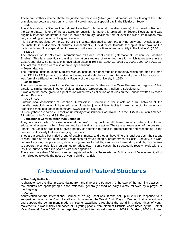These are Brothers who celebrate the jubilee anniversaries (silver gold or diamond) of their taking of the habit or making perpetual profession. It is normally celebrated at a special day in the District or Sector. **-- C.I.L.:**

The abbreviation for "Centre International Lasallien" (International Lasallian Centre). It is based in Rome in the Generalate.. It is one of the structures for Lasallian formation. It replaced the 'Second Novitiate' and was originally intended for Brothers, but it is now open to lay Lasallians from all over the world. Its duration may vary according to the aims of a given session.

It is a service provided by the Centre of the Institute, designed to promote a living unity and revitalisation of the Institute in a diversity of cultures. Consequently, it is directed towards the spiritual renewal of the participants and "the preparation of those who will assume positions of responsibility in the Institute". (R 101i) **-- S.I.E.L.:**

The abbreviation for "Session Internationale d'Études Lasalliennes" (International Session for Lasallian Studies). This is a specifically Lasallian formation structure of extended duration which takes place in the Casa Generalizia. So far sessions have taken place in 1988-89, 1990-91, 1998-99, 2000, 2009-10 y 2012-13. The last four of these were also open to lay Lasallians.

#### **-- Jesus Magister:**

The Pontifical Institute Jesus Magister was an institute of higher studies in theology which operated in Rome from 1957 to 1971 providing studies in theology and catechesis to an international group of lay religious. It was formally affiliated to the Theology Faculty of the Lateran University in 1960.

#### **-- Lasallianum:**

This was the name given to the Community of student Brothers in the Casa Generalizia, begun in 1949, parallel to similar groups in other religious Institutes (Gregorianum, Angelicum, Salesianum...).

It was also the name given to a publication which was a collection of studies on the Founder written by those student Brothers.

#### **-- AIUL / IALU:**

"International Association of Lasallian Universities". Created in 1998, it acts as a link between all the Lasallian establishments of higher education, fostering joint activities, facilitating exchange of information and organising meetings and joint seminars. (www.lasalle-ialu.org).

Currently there are some 70 Lasallian university establishments worldwide: 7 in the USA, 35 in Latin America, 2 in Africa, 14 in Asia and 8 in Europe.

#### **-- Educational Centres other than Schools:**

They are also called "socio-educational centres". They include all those projects outside the formal educational system in which Brothers and Lay Lasallians are active. They are an expression of the desire to uphold the Lasallian tradition of giving priority of attention to those in greatest need and responding to the new kinds of poverty that are emerging in society.

They are a creative but varied group of establishments, and they all have different legal set-ups. Their areas of work are also varied: supervised residences for young people, programmes of Social Security, pre-work centres for young people at risk, literacy programmes for adults, centres for former drug addicts, day centres to support the schools, job programmes for adults etc. In some cases, their trusteeship rests wholely with the Institute, but very often it is shared with other agencies.

There are more than 300 such centres registered with our Secretariat for Solidarity and Development, all of them directed towards the needs of young children at risk.

# **7.- Educational and Pastoral Structures**

#### **-- The Daily Reflection:**

A characteristic Lasallian practice dating from the time of the Founder. At the start of the morning classes, a few minutes are spent giving a short reflection, generally based on daily events, followed by a prayer of thanksgiving.

#### **-- I.C.Y.L.:**

Abbreviation for the International Council of Young Lasallians. It was set up in 2003 in response to a suggestion made by the Young Lasallians who attended the World Youth Days in Quebec. It aims to animate and support the commitment made by Young Lasallians throughout the world in various kinds of youth movements. It was initially composed of 11 young people from different Districts, coordinated by the Brother Vicar General. Since 2003, it has organized further international meetings: 2002 in Quebec, 2006 in Rome,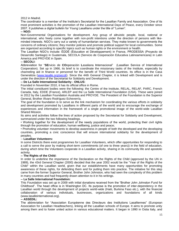#### 2012 in Madrid.

The coordinator is a member of the Institute's Secretariat for the Lasallian Family and Association. One of its most prominent activities is the promotion of the Lasallian International Days of Peace, every October since 2007. It publishes a digital bulletin for Young Lasallians under the title of "Lumen".

#### **-- NGO:**

Non-Governmental Organisations for development. Any group of altruistic people, local, national or international, who freely come together with non-profit intentions under the direction of persons with likeminded interests. NGO's carry out a variety of humanitarian services. They make known to governments the concerns of ordinary citizens; they monitor policies and promote political support for local communities. Some are organized according to specific topics such as human rights or the environment or health.

The Lasallian NGO's include: ÉDDÉ (Éducation et Développement) in France, PRODESSA (Proyecto de Desarrollo Santiago) in Guatemala, SECOLA (Servicio de Cooperación Educativa Latinoamericana) in Latin America and PROYDE in Spain.

#### **-- SECOLI:**

Abbreviation for "**SE**rvicio de **CO**operación **L**asaliana **I**nternacional" (Lasallian Service of International Cooperation). Set up in 1966, its brief is to coordinate the missionary tasks of the Institute, especially by channeling aid in finance or personnel for the benefit of Third World countries. Its office is in the Casa Generalizia [\(www.lasalle.org/secoli\)](http://www.lasalle.org/secoli). Since the 44th General Chapter, it is linked with Development and is under the direction of the Secretariat for Solidarity and Development.

#### **-- De La Salle International Solidarity - ONLUS:**

Founded in November 2010, it has its official office in Rome.

The initial constituent bodies were the following: the Centre of the Institute, RELAL, RELAF, PARC, French Canada, Italy, EDDE (France), ARLEP and the La Salle International Foundation (USA). These were joined in 2012 by the Lasallian Foundation Australia and PROYDE. The President of the Foundation is the Superior General, Brother Álvaro Rodríguez Echeverría.

The goal of the foundation is to serve as the link mechanism for coordinating the various efforts in solidarity and development promoted by Lasallians in different parts of the world and to encourage the exchange of experiences and information in the framework of a single promotional image of the world-wide Lasallian Shared Mission.

Its aims and activities follow the lines of action proposed by the Secretariat for Solidarity and Development, summarized under the two following headings.

• Working together for the development of the needy populations of the world, protecting their civil rights through the promotion of education, human wellbeing, justice and peace;

• Promoting volunteer movements to develop awareness in people of both the developed and the developing countries, promoting a civic conscience that will ensure international solidarity for the development of peoples.

#### -- **Lasallian Volunteers:**

In some Districts there exist programmes for Lasallian Volunteers, which offer opportunities for responding to a call to serve the poor by making short-term commitments (of one to three years)) in the field of education, during which time the Volunteers cooperate in a Lasallian activity, sharing in its community life and apostolic activity.

#### **-- The Rights of the Child:**

In order to underline the importance of the Declaration on the Rights of the Child (approved by the UN in 1989), the 43rd General Chapter (2000) decided that the year 2002 would be the "Year of the Rights of the Child" within the Lasallian world, given that our establishments have many opportunities for promoting awareness of these rights, for defending them and for putting them into practice. The initiative for this step came from the former Superior General, Brother John Johnston, who had seen the complexity of this problem in many countries and had frequently drawn attention to it in his writings.

#### **-- La Salle International Foundation:**

This Foundation was set up in 2009 with initial donations received from the "Brother John Johnston Fund for Childhood". The head office is in Washington DC. Its purpose is the promotion of inter-dependency in the Lasallian world through the development of projects world-wide (Haiti, Burkina Faso etc.), with the financial collaboration of various individuals, businesses, organizations and foundations of all kinds (www.lasalleinternational.org).

#### **-- ASSEDIL:**

The abbreviation for "Association Européenne des Directeurs des Institutions Lasalliennes" (European Association for Lasallian Headteachers), linking all the Lasallian schools of Europe. It aims to promote unity among them and to foster united action in various educational matters. It began in 1990 in Ostia Italy, and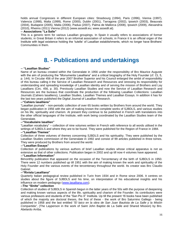holds annual Congresses in different European cities: Strasbourg (1994), Paris (1996), Vienna (1997), Valencia (1998), Malta (1999), Rome (2000), Dublin (2001), Tarragona (2002), Ipswich (2003), Beauvais (2004), Budapest (2005), Malta (2006), Padua (2007), Palma de Mallorca (2008), Ipswich (2009), Alexandría (2010), Rheims (2011) Vienna (2012) (www.assedil.eu; www.assedil.at).

#### **-- Associations "La Salle"**

This is a generic term for various Lasallian groupings. In Spain it usually refers to associations of former students; in Great Britain it refers to an informal association of schools; in France it is an official organ of the Institute with legal existence holding the 'tutelle' of Lasallian establishments, which no longer have Brothers' Communities in them.

# **8. - Publications and undertakings**

#### **-- "Lasallian Studies"**

Name of an bureau created within the Generalate in 1956 under the responsibility of Bro Maurice Auguste with the aim of producing the "Monumenta Lasalliana" and a critical biography of the Holy Founder (cf. CL 5, p. 144). In Circular 456 of the year 2007 Brother Superior and his Council enlarged the ambit of responsibility of this bureau calling it the Service of Lasallian Research and Resources and stressing its responsibility for understanding and spreading knowledge of Lasallian identity and of serving the mission of Brothers and Lay Lasallians (Circ. 456, p. 30). Previously Lasallian Studies and now the Service of Lasallian Research and Resources are the bureaus that coordinate the production of the following Lasallian Collections: Lasallian Journals (Cahiers lasalliens), Lasallian Studies, Lasallian Themes and Lasallian Essays. In addition it has for the last two years published the Digital Journal of Lasallian Research.

#### **--"Cahiers lasalliens"**

"Lasallian journals" - non-periodic collection of over 65 books written by Brothers from around the world. They began publication in 1956 with the aim of making known the complete works of SJBDLS, and various studies on his life, spirituality and charism. At present they continue to be published in French with translations into the other official languages of the Institute, with work being coordinated by the Lasallian Studies team of the Generalate.

#### **--"Vocabulaire lasallien"**

"Lasallian vocabulary" – collection of nine volumes written in French with reference to all words utilised in the writings of SJBDLS and where they are to be found. They were published for the Region of France in 1984.

#### **--"Lasallian Themes"**

Collection of three volumes of themes concerning SJBDLS and his spirituality. They were published by the Lasallian Studies commission of the Generalate in 1992 and consist of 99 articles published in three tomes. They were produced by Brothers from around the world.

#### **--"Lasallian Essays"**

Collection of publications by various authors of brief Lasallian studies whose critical apparatus is not as extensive as that of other collections. Publication began in 2002 and up till now 4 volumes have appeared.

#### **--"Lasallian Information"**

Bimonthly publication that appeared on the occasion of the Tercentenary of the birth of SJBDLS in 1950. There were 12 numbers published up till 1951 with the aim of making known the work and spirituality of the Holy Founder and the various events of the tercentenary throughout the world. Its creator was Bro Claudio Gabriel.

#### **--"Rivista Lasalliana"**

Quarterly Italian pedagogical review published in Turin from 1934 and in Rome since 2006. It centres on studies about the figure of SJBDLS and his time, on interpretation of his educational insights and his influence on modern pedagogy [\(www.lasalliana.com\)](http://www.lasalliana.com/).

#### **--The "Sinite" collection**

Collection of studies of SJBDLS in Spanish begun in the latter years of the 50s with the purpose of deepening and making known various aspects of the life, spirituality and charism of the Founder. Its contributors were various professors and students of the "San Pio X" Institute. Up till the present 16 books have been published of which the majority are doctoral theses, the first of these - the work of Bro Saturnino Gallego - being published in 1958 and the last entitled *"El laico en la obra de San Juan Bautista de La Salle y la Misión Compartida",* (The Layperson in the work of Saint John Baptist de La Salle and Shared Mission) by Bro. Abelardo Arriba.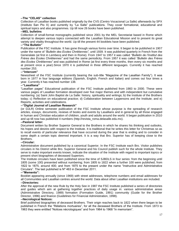#### **--The "CELAS" collection**

Collection of Lasallian books published originally by the CVS (Centro Vocacional La Salle) afterwards by SPX (Instituto San Pio X) and currently by "La Salle" publications. They cover formational, educational and spiritual topics and also programmes. Up till now 26 books have been published.

#### **--MEL bulletins**

Collection of small-format monographs published since 2001 by the MEL Secretariat based in Rome which attempt to deepen various topics connected with the Lasallian Educational Mission and to present its great variety and vitality throughout the world. Up till the present 44 booklets have been published.

#### **--"The Bulletin"**

Publication of the FSC Institute. It has gone through various forms over time. It began to be published in 1907 under the name of *"Bulletin des Ecoles Chrétiennes",* until 1939. It was published quarterly in French from the Generalate (at first in Lembecq and then in Rome). From 1947 to 1957 it was called *"Bulletin de l'Institut des Frères des Ecoles Chrétiennes"* and had the same periodicity. From 1957 it was called *"Bulletin des Frères des Ecoles Chrétiennes"* and was published in Rome (at first every three months, then every six months and at present once a year).Since 1970 it is published in three different languages. Currently it has reached number 253.

#### **--"Intercom"**

Newssheet of the FSC Institute (currently bearing the sub-title "Magazine of the Lasallian Family"). It was born in 1977 in four language editions (Spanish, English, French and Italian) and comes out four times a year. Currently it has reached number 138.

#### **--"Lasalliana"**

"Lasallian pages" Educational publication of the FSC Institute published from 1983 to 2000. These were various pages of Lasallian formation developed over five major themes and with independent but cumulative numbering: (a) Saint John Baptist de La Salle: history, spirituality and writings; b) the Institute of the Brothers today; c) Reflection on educational practice; d) Collaboration between Laypersons and the Institute; and e) Reports, activities and celebrations.

#### **--"Digital Journal of Lasallian Research"**

(or DJLR) Online semester publication of the FSC Institute whose purpose is the spreading of research articles, essays, documents, reviews of books and events by Lasallians and in general by all those engaged in human and Christian education of children, youth and adults around the world. It began publication in 2010 and up till now has published 4 numbers (http://revista\_roma.delasalle.edu.mx).

#### **--Pastoral letter:**

Document written by Brother Superior General to the Brothers in which he shares his thinking and outlooks, his hopes and desires with respect to the Institute. It is traditional that he writes this letter for Christmas so as to recall events of particular relevance that have occurred during the year that is ending and to consider in some depth a certain topic deemed important. It is a way that Bro. Superior has of keeping close to the Brothers.

#### **--Circular:**

Administrative document published by a canonical Superior. In the FSC Institute each Bro. Visitor publishes circulars in his District while Bro. Superior General and his Council publish such for the whole Institute. They serve to make important events known, indicate the situation of the Institute with regard to important topics or present short biographies of deceased Superiors.

The Institute circulars have been published since the time of SJBDLS in four series: from the beginning until 1805 (some 100) presented without numbering; from 1805 to 1822 when a further 100 were published; from 1822 to 1875, around 400; and from 1875 to the present under the name "Instructive and Administrative Circulars". The last published is Nº 463 in December 2011.

#### **--"Memento":**

Booklet appearing annually (since 1969) with street addresses, telephone numbers and email addresses for all Communities and Lasallian centres around the world. Data about other Lasallian institutions are included. **--Directories:**

After the approval of the new Rule by the Holy See in 1987 the FSC Institute published a series of directories and guides which aim at gathering together practices of daily usage in: various administrative areas (Administrative Directory, 1989) formation (Formation Guide, 1991) community (Guide for the Brother Director, 1996) and finance (Guidelines for Financial Administration, 1998).

#### **--Necrological Notices:**

Brief published biographies of deceased Brothers. Their origin reaches back to 1822 when there began to be published in French the "Rélations mortuaires", for all the deceased Brothers of the Institute. From 1873 to 1963 they were entitled "Notices nécrologiques" and from 1964 to 1968 "In memoriam".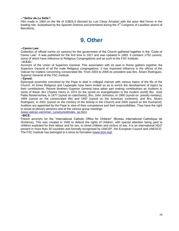#### **--"***Señor de La Salle"***:**

Film made in 1964 on the life of SJBDLS directed by Luis César Amadori with the actor Mel Ferrer in the leading role. Subsidised by the Spanish Districts and premiered during the 3<sup>rd</sup> Congress of Lasallian alumni of Barcelona.

# **9. Other**

#### **--Canon Law:**

Collection of official norms (or canons) for the government of the Church gathered together in the "Code of Canon Law". It was published for the first time in 1917 and was updated in 1983. It contains 1752 canons, some of which have reference to Religious Congregations and as such to the FSC Institute.

#### **--U.S.G.:**

Acronym of the Union of Superiors General. This association with its seat in Rome gathers together the Superiors General of all the male Religious congregations. It has important influence in the offices of the Vatican for matters concerning consecrated life. From 2003 to 2006 its president was Bro. Álvaro Rodríguez, Superior General of the FSC Institute.

#### **--Synod:**

Episcopal assembly convoked by the Pope to deal in collegial manner with various topics of the life of the Church. At times Religious and Laypeople have been invited so as to enrich the development of topics by their contributions. Recent Brothers Superior General have taken part making contributions as Auditors in some of these: Bro Charles Henry in 1974 (in the synod on evangelisation in the modern world) Bro José Pablo Basterrechea, in 1977 (synod on catechesis), Bro. John Johnston, in 1990 (synod on priestly ministry), 1994 (synod on the consecrated life) and 1997 (synod on the American continent), and Bro. Álvaro Rodríguez, in 2001 (synod on the ministry of the bishop in the Church) and 2005 (synod on the Eucharist). Auditors are appointed by the Pope in view of their competence and their responsibilities. They have the right to assist at plenary sessions and at the various group meetings

[\(www.vatican.va/roman\\_curia/synod/index\\_sp.htm\)](http://www.vatican.va/roman_curia/synod/index_sp.htm).

#### **--BICE:**

French acronym for the "International Catholic Office for Children" (Bureau International Catholique de l'Enfance), This was created in 1948 to defend the rights of children, with special attention being paid to children exploited for their labour and for sex, to street children and victims of war. It is an international NGO present in more than 30 countries and formally recognised by UNICEF, the European Council and UNESCO. The FSC Institute has belonged to it since its formation [\(www.bice.org\)](http://www.bice.org/).